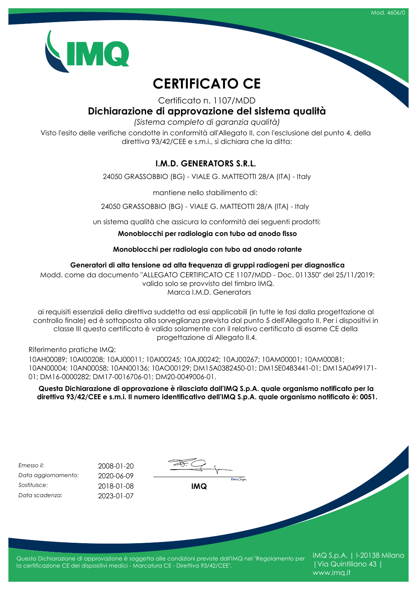

# **CERTIFICATO CE**

Certificato n. 1107/MDD

### **Dichiarazione di approvazione del sistema qualità**

*(Sistema completo di garanzia qualità)*

Visto l'esito delle verifiche condotte in conformità all'Allegato II, con l'esclusione del punto 4, della direttiva 93/42/CEE e s.m.i., si dichiara che la ditta:

#### **I.M.D. GENERATORS S.R.L.**

24050 GRASSOBBIO (BG) - VIALE G. MATTEOTTI 28/A (ITA) - Italy

mantiene nello stabilimento di:

24050 GRASSOBBIO (BG) - VIALE G. MATTEOTTI 28/A (ITA) - Italy

un sistema qualità che assicura la conformità dei seguenti prodotti:

**Monoblocchi per radiologia con tubo ad anodo fisso**

**Monoblocchi per radiologia con tubo ad anodo rotante**

#### **Generatori di alta tensione ad alta frequenza di gruppi radiogeni per diagnostica**

Modd. come da documento "ALLEGATO CERTIFICATO CE 1107/MDD - Doc. 011350" del 25/11/2019; valido solo se provvisto del timbro IMQ. Marca I.M.D. Generators

ai requisiti essenziali della direttiva suddetta ad essi applicabili (in tutte le fasi dalla progettazione al controllo finale) ed è sottoposta alla sorveglianza prevista dal punto 5 dell'Allegato II. Per i dispositivi in classe III questo certificato è valido solamente con il relativo certificato di esame CE della progettazione di Allegato II.4.

Riferimento pratiche IMQ:

10AH00089; 10AI00208; 10AJ00011; 10AI00245; 10AJ00242; 10AJ00267; 10AM00001; 10AM00081; 10AN00004; 10AN00058; 10AN00136; 10AO00129; DM15A0382450-01; DM15E0483441-01; DM15A0499171- 01; DM16-0000282; DM17-0016706-01; DM20-0049006-01.

**Questa Dichiarazione di approvazione è rilasciata dall'IMQ S.p.A. quale organismo notificato per la direttiva 93/42/CEE e s.m.i. Il numero identificativo dell'IMQ S.p.A. quale organismo notificato è: 0051.**

| Emesso il:          | 2008-01-20 |
|---------------------|------------|
| Data aggiornamento: | 2020-06-09 |
| Sostituisce:        | 2018-01-08 |
| Data scadenza:      | 2023-01-07 |

| <b>IMQ</b> | <b>Docu</b> Sign |
|------------|------------------|

Questa Dichiarazione di approvazione è soggetta alle condizioni previste dall'IMQ nel "Regolamento per la certificazione CE dei dispositivi medici - Marcatura CE - Direttiva 93/42/CEE".

IMQ S.p.A. | I-20138 Milano |Via Quintiliano 43 | www.imq.it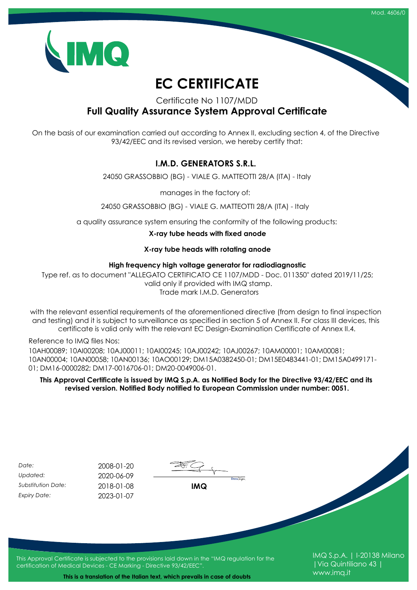



# **EC CERTIFICATE**

Certificate No 1107/MDD

**Full Quality Assurance System Approval Certificate**

On the basis of our examination carried out according to Annex II, excluding section 4, of the Directive 93/42/EEC and its revised version, we hereby certify that:

#### **I.M.D. GENERATORS S.R.L.**

24050 GRASSOBBIO (BG) - VIALE G. MATTEOTTI 28/A (ITA) - Italy

manages in the factory of:

24050 GRASSOBBIO (BG) - VIALE G. MATTEOTTI 28/A (ITA) - Italy

a quality assurance system ensuring the conformity of the following products:

**X-ray tube heads with fixed anode**

#### **X-ray tube heads with rotating anode**

#### **High frequency high voltage generator for radiodiagnostic**

Type ref. as to document "ALLEGATO CERTIFICATO CE 1107/MDD - Doc. 011350" dated 2019/11/25; valid only if provided with IMQ stamp. Trade mark I.M.D. Generators

with the relevant essential requirements of the aforementioned directive (from design to final inspection and testing) and it is subject to surveillance as specified in section 5 of Annex II. For class III devices, this certificate is valid only with the relevant EC Design-Examination Certificate of Annex II.4.

Reference to IMQ files Nos:

10AH00089; 10AI00208; 10AJ00011; 10AI00245; 10AJ00242; 10AJ00267; 10AM00001; 10AM00081; 10AN00004; 10AN00058; 10AN00136; 10AO00129; DM15A0382450-01; DM15E0483441-01; DM15A0499171- 01; DM16-0000282; DM17-0016706-01; DM20-0049006-01.

**This Approval Certificate is issued by IMQ S.p.A. as Notified Body for the Directive 93/42/EEC and its revised version. Notified Body notified to European Commission under number: 0051.**

| Date:                     | 2008-01-20                                                            |                                                                                                   |                                                     |
|---------------------------|-----------------------------------------------------------------------|---------------------------------------------------------------------------------------------------|-----------------------------------------------------|
| Updated:                  | 2020-06-09                                                            |                                                                                                   |                                                     |
| <b>Substitution Date:</b> | 2018-01-08                                                            | <b>Docu</b> Sign<br><b>IMQ</b>                                                                    |                                                     |
| <b>Expiry Date:</b>       | 2023-01-07                                                            |                                                                                                   |                                                     |
|                           |                                                                       |                                                                                                   |                                                     |
|                           | certification of Medical Devices - CE Marking - Directive 93/42/EEC". | This Approval Certificate is subjected to the provisions laid down in the "IMQ regulation for the | IMQ S.p.A.   I-20138 Milano<br>  Via Quintiliano 43 |

www.imq.it

**This is a translation of the Italian text, which prevails in case of doubts**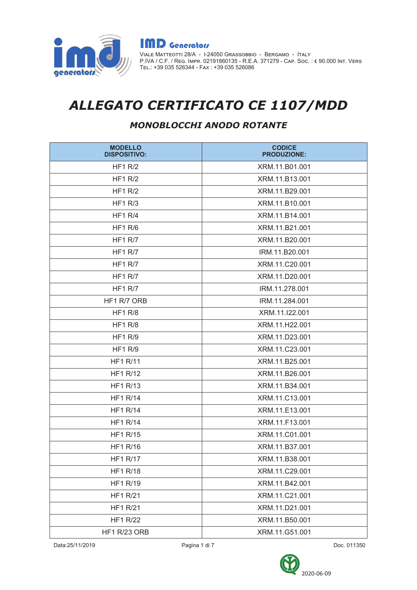

**IMD** Generators VIALE МАТТЕОТТІ 28/A - I-24050 GRASSOBBIO - ВЕRGAMO - ITALY<br>P.IVA / C.F. / REG. IMPR. 02191860135 - R.E.A. 371279 - Cap. Soc. : € 90.000 INT. VERS<br>TEL.: +39 035 526344 - Fax : +39 035 526086

# ALLEGATO CERTIFICATO CE 1107/MDD

### MONOBLOCCHI ANODO ROTANTE

| <b>MODELLO</b><br><b>DISPOSITIVO:</b> | <b>CODICE</b><br><b>PRODUZIONE:</b> |
|---------------------------------------|-------------------------------------|
| <b>HF1 R/2</b>                        | XRM.11.B01.001                      |
| HF1 R/2                               | XRM.11.B13.001                      |
| HF1 R/2                               | XRM.11.B29.001                      |
| <b>HF1 R/3</b>                        | XRM.11.B10.001                      |
| <b>HF1 R/4</b>                        | XRM.11.B14.001                      |
| <b>HF1 R/6</b>                        | XRM.11.B21.001                      |
| <b>HF1 R/7</b>                        | XRM.11.B20.001                      |
| <b>HF1 R/7</b>                        | IRM.11.B20.001                      |
| HF1 $R/7$                             | XRM.11.C20.001                      |
| <b>HF1 R/7</b>                        | XRM.11.D20.001                      |
| HF1 $R/7$                             | IRM.11.278.001                      |
| HF1 R/7 ORB                           | IRM.11.284.001                      |
| <b>HF1 R/8</b>                        | XRM.11.I22.001                      |
| <b>HF1 R/8</b>                        | XRM.11.H22.001                      |
| HF1 R/9                               | XRM.11.D23.001                      |
| <b>HF1 R/9</b>                        | XRM.11.C23.001                      |
| <b>HF1 R/11</b>                       | XRM.11.B25.001                      |
| <b>HF1 R/12</b>                       | XRM.11.B26.001                      |
| <b>HF1 R/13</b>                       | XRM.11.B34.001                      |
| <b>HF1 R/14</b>                       | XRM.11.C13.001                      |
| <b>HF1 R/14</b>                       | XRM.11.E13.001                      |
| <b>HF1 R/14</b>                       | XRM.11.F13.001                      |
| <b>HF1 R/15</b>                       | XRM.11.C01.001                      |
| <b>HF1 R/16</b>                       | XRM.11.B37.001                      |
| <b>HF1 R/17</b>                       | XRM.11.B38.001                      |
| <b>HF1 R/18</b>                       | XRM.11.C29.001                      |
| <b>HF1 R/19</b>                       | XRM.11.B42.001                      |
| <b>HF1 R/21</b>                       | XRM.11.C21.001                      |
| <b>HF1 R/21</b>                       | XRM.11.D21.001                      |
| <b>HF1 R/22</b>                       | XRM.11.B50.001                      |
| HF1 R/23 ORB                          | XRM.11.G51.001                      |



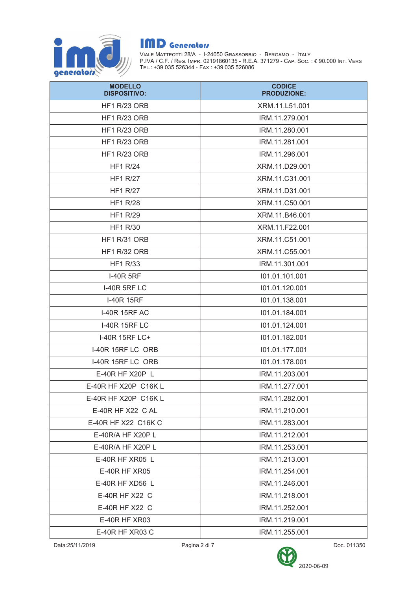

| <b>MODELLO</b><br><b>DISPOSITIVO:</b> | <b>CODICE</b><br><b>PRODUZIONE:</b> |
|---------------------------------------|-------------------------------------|
| <b>HF1 R/23 ORB</b>                   | XRM.11.L51.001                      |
| HF1 R/23 ORB                          | IRM.11.279.001                      |
| <b>HF1 R/23 ORB</b>                   | IRM.11.280.001                      |
| <b>HF1 R/23 ORB</b>                   | IRM.11.281.001                      |
| <b>HF1 R/23 ORB</b>                   | IRM.11.296.001                      |
| <b>HF1 R/24</b>                       | XRM.11.D29.001                      |
| <b>HF1 R/27</b>                       | XRM.11.C31.001                      |
| <b>HF1 R/27</b>                       | XRM.11.D31.001                      |
| <b>HF1 R/28</b>                       | XRM.11.C50.001                      |
| <b>HF1 R/29</b>                       | XRM.11.B46.001                      |
| <b>HF1 R/30</b>                       | XRM.11.F22.001                      |
| <b>HF1 R/31 ORB</b>                   | XRM.11.C51.001                      |
| <b>HF1 R/32 ORB</b>                   | XRM.11.C55.001                      |
| <b>HF1 R/33</b>                       | IRM.11.301.001                      |
| <b>I-40R 5RF</b>                      | 101.01.101.001                      |
| <b>I-40R 5RF LC</b>                   | 101.01.120.001                      |
| <b>I-40R 15RF</b>                     | 101.01.138.001                      |
| <b>I-40R 15RF AC</b>                  | 101.01.184.001                      |
| <b>I-40R 15RF LC</b>                  | 101.01.124.001                      |
| I-40R 15RF LC+                        | 101.01.182.001                      |
| I-40R 15RF LC ORB                     | 101.01.177.001                      |
| I-40R 15RF LC ORB                     | 101.01.178.001                      |
| E-40R HF X20P L                       | IRM.11.203.001                      |
| E-40R HF X20P C16K L                  | IRM.11.277.001                      |
| E-40R HF X20P C16K L                  | IRM.11.282.001                      |
| E-40R HF X22 C AL                     | IRM.11.210.001                      |
| E-40R HF X22 C16K C                   | IRM.11.283.001                      |
| E-40R/A HF X20P L                     | IRM.11.212.001                      |
| $E-40R/A$ HF X20P L                   | IRM.11.253.001                      |
| E-40R HF XR05 L                       | IRM.11.213.001                      |
| <b>E-40R HF XR05</b>                  | IRM.11.254.001                      |
| E-40R HF XD56 L                       | IRM.11.246.001                      |
| E-40R HF X22 C                        | IRM.11.218.001                      |
| E-40R HF X22 C                        | IRM.11.252.001                      |
| E-40R HF XR03                         | IRM.11.219.001                      |
| E-40R HF XR03 C                       | IRM.11.255.001                      |

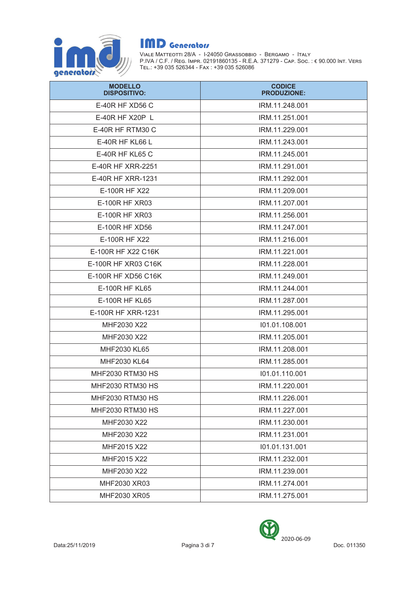

| <b>MODELLO</b><br><b>DISPOSITIVO:</b> | <b>CODICE</b><br><b>PRODUZIONE:</b> |
|---------------------------------------|-------------------------------------|
| E-40R HF XD56 C                       | IRM.11.248.001                      |
| E-40R HF X20P L                       | IRM.11.251.001                      |
| E-40R HF RTM30 C                      | IRM.11.229.001                      |
| E-40R HF KL66 L                       | IRM.11.243.001                      |
| E-40R HF KL65 C                       | IRM.11.245.001                      |
| E-40R HF XRR-2251                     | IRM.11.291.001                      |
| E-40R HF XRR-1231                     | IRM.11.292.001                      |
| E-100R HF X22                         | IRM.11.209.001                      |
| E-100R HF XR03                        | IRM.11.207.001                      |
| E-100R HF XR03                        | IRM.11.256.001                      |
| E-100R HF XD56                        | IRM.11.247.001                      |
| E-100R HF X22                         | IRM.11.216.001                      |
| E-100R HF X22 C16K                    | IRM.11.221.001                      |
| E-100R HF XR03 C16K                   | IRM.11.228.001                      |
| E-100R HF XD56 C16K                   | IRM.11.249.001                      |
| E-100R HF KL65                        | IRM.11.244.001                      |
| E-100R HF KL65                        | IRM.11.287.001                      |
| E-100R HF XRR-1231                    | IRM.11.295.001                      |
| MHF2030 X22                           | 101.01.108.001                      |
| MHF2030 X22                           | IRM.11.205.001                      |
| MHF2030 KL65                          | IRM.11.208.001                      |
| MHF2030 KL64                          | IRM.11.285.001                      |
| <b>MHF2030 RTM30 HS</b>               | 101.01.110.001                      |
| MHF2030 RTM30 HS                      | IRM.11.220.001                      |
| MHF2030 RTM30 HS                      | IRM.11.226.001                      |
| MHF2030 RTM30 HS                      | IRM.11.227.001                      |
| MHF2030 X22                           | IRM.11.230.001                      |
| MHF2030 X22                           | IRM.11.231.001                      |
| MHF2015 X22                           | 101.01.131.001                      |
| MHF2015 X22                           | IRM.11.232.001                      |
| MHF2030 X22                           | IRM.11.239.001                      |
| MHF2030 XR03                          | IRM.11.274.001                      |
| MHF2030 XR05                          | IRM.11.275.001                      |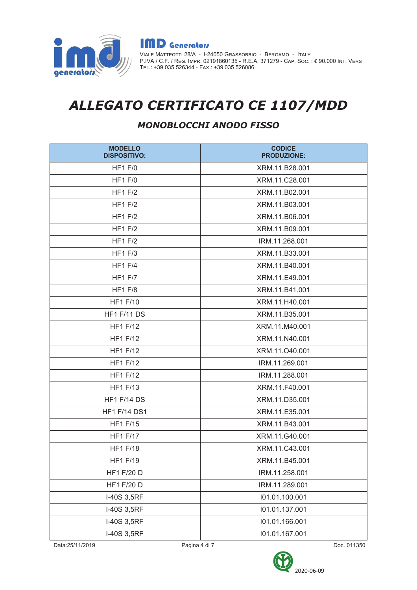

**IMD** Generators VIALE МАТТЕОТТІ 28/A - I-24050 GRASSOBBIO - ВЕRGAMO - ITALY<br>P.IVA / C.F. / REG. IMPR. 02191860135 - R.E.A. 371279 - Cap. Soc. : € 90.000 INT. VERS<br>TEL.: +39 035 526344 - Fax : +39 035 526086

# ALLEGATO CERTIFICATO CE 1107/MDD

### MONOBLOCCHI ANODO FISSO

| <b>MODELLO</b><br><b>DISPOSITIVO:</b> | <b>CODICE</b><br><b>PRODUZIONE:</b> |
|---------------------------------------|-------------------------------------|
| <b>HF1 F/0</b>                        | XRM.11.B28.001                      |
| <b>HF1 F/0</b>                        | XRM.11.C28.001                      |
| <b>HF1 F/2</b>                        | XRM.11.B02.001                      |
| HF1F/2                                | XRM.11.B03.001                      |
| HF1F/2                                | XRM.11.B06.001                      |
| HF1F/2                                | XRM.11.B09.001                      |
| HF1F/2                                | IRM.11.268.001                      |
| <b>HF1 F/3</b>                        | XRM.11.B33.001                      |
| <b>HF1 F/4</b>                        | XRM.11.B40.001                      |
| <b>HF1 F/7</b>                        | XRM.11.E49.001                      |
| <b>HF1 F/8</b>                        | XRM.11.B41.001                      |
| <b>HF1 F/10</b>                       | XRM.11.H40.001                      |
| <b>HF1 F/11 DS</b>                    | XRM.11.B35.001                      |
| <b>HF1 F/12</b>                       | XRM.11.M40.001                      |
| <b>HF1 F/12</b>                       | XRM.11.N40.001                      |
| <b>HF1 F/12</b>                       | XRM.11.040.001                      |
| <b>HF1 F/12</b>                       | IRM.11.269.001                      |
| <b>HF1 F/12</b>                       | IRM.11.288.001                      |
| <b>HF1 F/13</b>                       | XRM.11.F40.001                      |
| <b>HF1 F/14 DS</b>                    | XRM.11.D35.001                      |
| <b>HF1 F/14 DS1</b>                   | XRM.11.E35.001                      |
| <b>HF1 F/15</b>                       | XRM.11.B43.001                      |
| <b>HF1 F/17</b>                       | XRM.11.G40.001                      |
| <b>HF1 F/18</b>                       | XRM.11.C43.001                      |
| <b>HF1 F/19</b>                       | XRM.11.B45.001                      |
| <b>HF1 F/20 D</b>                     | IRM.11.258.001                      |
| <b>HF1 F/20 D</b>                     | IRM.11.289.001                      |
| I-40S 3,5RF                           | 101.01.100.001                      |
| I-40S 3,5RF                           | 101.01.137.001                      |
| I-40S 3,5RF                           | 101.01.166.001                      |
| I-40S 3,5RF                           | 101.01.167.001                      |

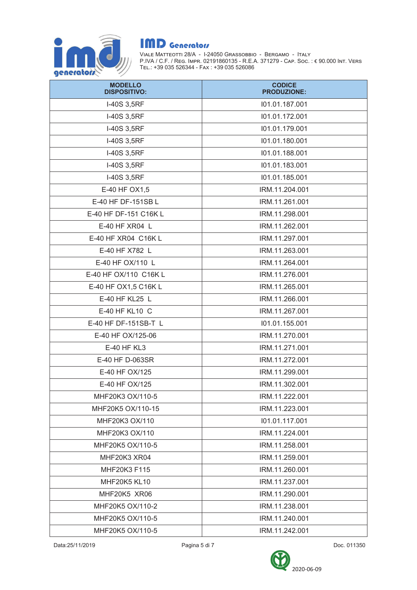

| <b>MODELLO</b><br><b>DISPOSITIVO:</b> | <b>CODICE</b><br><b>PRODUZIONE:</b> |
|---------------------------------------|-------------------------------------|
| I-40S 3,5RF                           | 101.01.187.001                      |
| I-40S 3,5RF                           | 101.01.172.001                      |
| I-40S 3,5RF                           | 101.01.179.001                      |
| I-40S 3,5RF                           | 101.01.180.001                      |
| I-40S 3,5RF                           | 101.01.188.001                      |
| I-40S 3,5RF                           | 101.01.183.001                      |
| I-40S 3,5RF                           | 101.01.185.001                      |
| E-40 HF OX1,5                         | IRM.11.204.001                      |
| E-40 HF DF-151SB L                    | IRM.11.261.001                      |
| E-40 HF DF-151 C16K L                 | IRM.11.298.001                      |
| E-40 HF XR04 L                        | IRM.11.262.001                      |
| E-40 HF XR04 C16K L                   | IRM.11.297.001                      |
| E-40 HF X782 L                        | IRM.11.263.001                      |
| E-40 HF OX/110 L                      | IRM.11.264.001                      |
| E-40 HF OX/110 C16K L                 | IRM.11.276.001                      |
| E-40 HF OX1,5 C16K L                  | IRM.11.265.001                      |
| E-40 HF KL25 L                        | IRM.11.266.001                      |
| E-40 HF KL10 C                        | IRM.11.267.001                      |
| E-40 HF DF-151SB-T L                  | 101.01.155.001                      |
| E-40 HF OX/125-06                     | IRM.11.270.001                      |
| E-40 HF KL3                           | IRM.11.271.001                      |
| E-40 HF D-063SR                       | IRM.11.272.001                      |
| E-40 HF OX/125                        | IRM.11.299.001                      |
| E-40 HF OX/125                        | IRM.11.302.001                      |
| MHF20K3 OX/110-5                      | IRM.11.222.001                      |
| MHF20K5 OX/110-15                     | IRM.11.223.001                      |
| MHF20K3 OX/110                        | 101.01.117.001                      |
| MHF20K3 OX/110                        | IRM.11.224.001                      |
| MHF20K5 OX/110-5                      | IRM.11.258.001                      |
| MHF20K3 XR04                          | IRM.11.259.001                      |
| MHF20K3 F115                          | IRM.11.260.001                      |
| <b>MHF20K5 KL10</b>                   | IRM.11.237.001                      |
| MHF20K5 XR06                          | IRM.11.290.001                      |
| MHF20K5 OX/110-2                      | IRM.11.238.001                      |
| MHF20K5 OX/110-5                      | IRM.11.240.001                      |
| MHF20K5 OX/110-5                      | IRM.11.242.001                      |

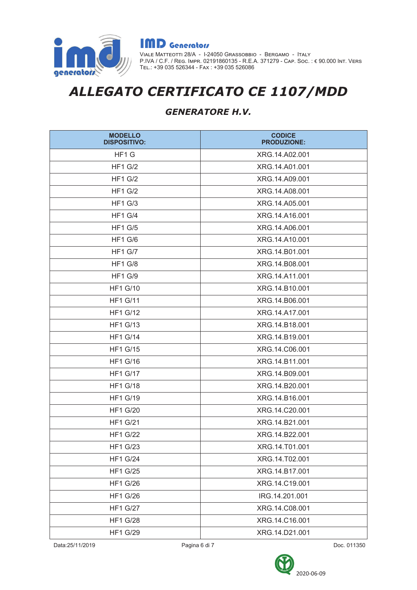

**IMD** Generators VIALE МАТТЕОТТІ 28/A - I-24050 GRASSOBBIO - ВЕRGAMO - ITALY<br>P.IVA / C.F. / REG. IMPR. 02191860135 - R.E.A. 371279 - Cap. Soc. : € 90.000 INT. VERS<br>TEL.: +39 035 526344 - Fax : +39 035 526086

## ALLEGATO CERTIFICATO CE 1107/MDD

### GENERATORE H.V.

| <b>MODELLO</b><br><b>DISPOSITIVO:</b> | <b>CODICE</b><br><b>PRODUZIONE:</b> |
|---------------------------------------|-------------------------------------|
| HF1 G                                 | XRG.14.A02.001                      |
| $HF1$ G/2                             | XRG.14.A01.001                      |
| <b>HF1 G/2</b>                        | XRG.14.A09.001                      |
| <b>HF1 G/2</b>                        | XRG.14.A08.001                      |
| <b>HF1 G/3</b>                        | XRG.14.A05.001                      |
| <b>HF1 G/4</b>                        | XRG.14.A16.001                      |
| <b>HF1 G/5</b>                        | XRG.14.A06.001                      |
| <b>HF1 G/6</b>                        | XRG.14.A10.001                      |
| <b>HF1 G/7</b>                        | XRG.14.B01.001                      |
| <b>HF1 G/8</b>                        | XRG.14.B08.001                      |
| <b>HF1 G/9</b>                        | XRG.14.A11.001                      |
| <b>HF1 G/10</b>                       | XRG.14.B10.001                      |
| <b>HF1 G/11</b>                       | XRG.14.B06.001                      |
| <b>HF1 G/12</b>                       | XRG.14.A17.001                      |
| <b>HF1 G/13</b>                       | XRG.14.B18.001                      |
| <b>HF1 G/14</b>                       | XRG.14.B19.001                      |
| <b>HF1 G/15</b>                       | XRG.14.C06.001                      |
| <b>HF1 G/16</b>                       | XRG.14.B11.001                      |
| <b>HF1 G/17</b>                       | XRG.14.B09.001                      |
| <b>HF1 G/18</b>                       | XRG.14.B20.001                      |
| <b>HF1 G/19</b>                       | XRG.14.B16.001                      |
| <b>HF1 G/20</b>                       | XRG.14.C20.001                      |
| <b>HF1 G/21</b>                       | XRG.14.B21.001                      |
| <b>HF1 G/22</b>                       | XRG.14.B22.001                      |
| <b>HF1 G/23</b>                       | XRG.14.T01.001                      |
| <b>HF1 G/24</b>                       | XRG.14.T02.001                      |
| <b>HF1 G/25</b>                       | XRG.14.B17.001                      |
| <b>HF1 G/26</b>                       | XRG.14.C19.001                      |
| <b>HF1 G/26</b>                       | IRG.14.201.001                      |
| <b>HF1 G/27</b>                       | XRG.14.C08.001                      |
| <b>HF1 G/28</b>                       | XRG.14.C16.001                      |
| <b>HF1 G/29</b>                       | XRG.14.D21.001                      |